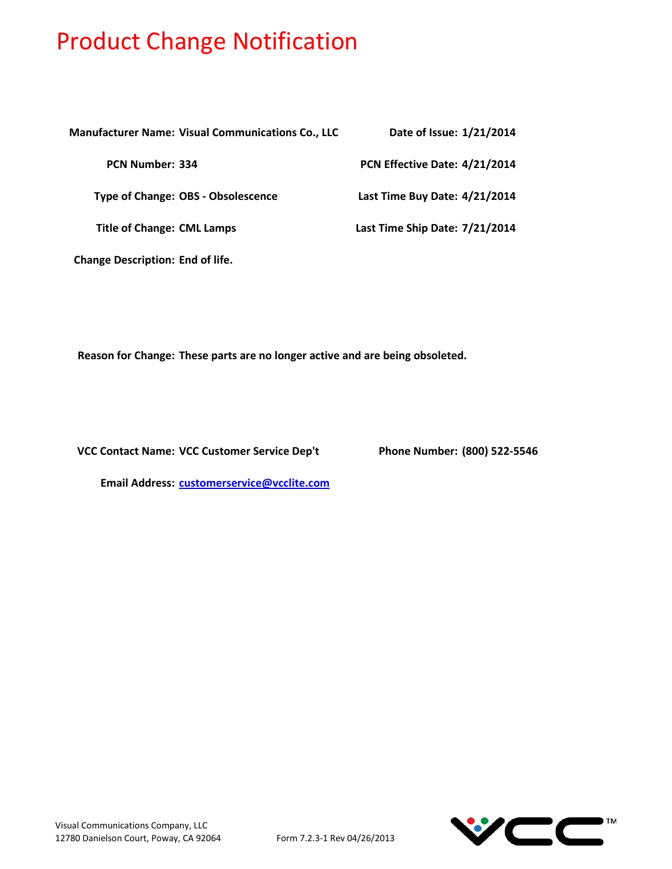| <b>Manufacturer Name: Visual Communications Co., LLC</b> | Date of Issue: 1/21/2014       |
|----------------------------------------------------------|--------------------------------|
| <b>PCN Number: 334</b>                                   | PCN Effective Date: 4/21/2014  |
| <b>Type of Change: OBS - Obsolescence</b>                | Last Time Buy Date: 4/21/2014  |
| <b>Title of Change: CML Lamps</b>                        | Last Time Ship Date: 7/21/2014 |
| <b>Change Description: End of life.</b>                  |                                |

**Reason for Change: These parts are no longer active and are being obsoleted.**

**VCC Contact Name:**

**Phone Number: (800) 522-5546** 

**Email Address: [customerservice@vcclite.com](mailto:customerservice@vcclite.com)**

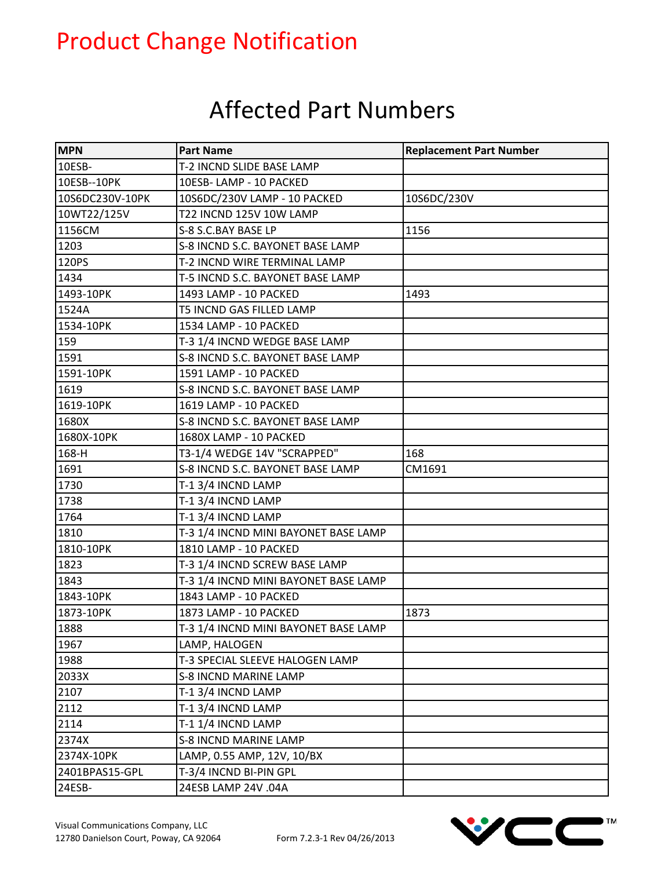### Affected Part Numbers

| <b>MPN</b>      | <b>Part Name</b>                     | <b>Replacement Part Number</b> |
|-----------------|--------------------------------------|--------------------------------|
| 10ESB-          | T-2 INCND SLIDE BASE LAMP            |                                |
| 10ESB--10PK     | 10ESB-LAMP - 10 PACKED               |                                |
| 10S6DC230V-10PK | 10S6DC/230V LAMP - 10 PACKED         | 10S6DC/230V                    |
| 10WT22/125V     | T22 INCND 125V 10W LAMP              |                                |
| 1156CM          | S-8 S.C.BAY BASE LP                  | 1156                           |
| 1203            | S-8 INCND S.C. BAYONET BASE LAMP     |                                |
| 120PS           | T-2 INCND WIRE TERMINAL LAMP         |                                |
| 1434            | T-5 INCND S.C. BAYONET BASE LAMP     |                                |
| 1493-10PK       | 1493 LAMP - 10 PACKED                | 1493                           |
| 1524A           | T5 INCND GAS FILLED LAMP             |                                |
| 1534-10PK       | 1534 LAMP - 10 PACKED                |                                |
| 159             | T-3 1/4 INCND WEDGE BASE LAMP        |                                |
| 1591            | S-8 INCND S.C. BAYONET BASE LAMP     |                                |
| 1591-10PK       | 1591 LAMP - 10 PACKED                |                                |
| 1619            | S-8 INCND S.C. BAYONET BASE LAMP     |                                |
| 1619-10PK       | 1619 LAMP - 10 PACKED                |                                |
| 1680X           | S-8 INCND S.C. BAYONET BASE LAMP     |                                |
| 1680X-10PK      | 1680X LAMP - 10 PACKED               |                                |
| 168-H           | T3-1/4 WEDGE 14V "SCRAPPED"          | 168                            |
| 1691            | S-8 INCND S.C. BAYONET BASE LAMP     | CM1691                         |
| 1730            | T-1 3/4 INCND LAMP                   |                                |
| 1738            | T-1 3/4 INCND LAMP                   |                                |
| 1764            | T-1 3/4 INCND LAMP                   |                                |
| 1810            | T-3 1/4 INCND MINI BAYONET BASE LAMP |                                |
| 1810-10PK       | 1810 LAMP - 10 PACKED                |                                |
| 1823            | T-3 1/4 INCND SCREW BASE LAMP        |                                |
| 1843            | T-3 1/4 INCND MINI BAYONET BASE LAMP |                                |
| 1843-10PK       | 1843 LAMP - 10 PACKED                |                                |
| 1873-10PK       | 1873 LAMP - 10 PACKED                | 1873                           |
| 1888            | T-3 1/4 INCND MINI BAYONET BASE LAMP |                                |
| 1967            | LAMP, HALOGEN                        |                                |
| 1988            | T-3 SPECIAL SLEEVE HALOGEN LAMP      |                                |
| 2033X           | <b>S-8 INCND MARINE LAMP</b>         |                                |
| 2107            | T-1 3/4 INCND LAMP                   |                                |
| 2112            | T-1 3/4 INCND LAMP                   |                                |
| 2114            | T-1 1/4 INCND LAMP                   |                                |
| 2374X           | <b>S-8 INCND MARINE LAMP</b>         |                                |
| 2374X-10PK      | LAMP, 0.55 AMP, 12V, 10/BX           |                                |
| 2401BPAS15-GPL  | T-3/4 INCND BI-PIN GPL               |                                |
| 24ESB-          | 24ESB LAMP 24V .04A                  |                                |

TM

 $\blacksquare$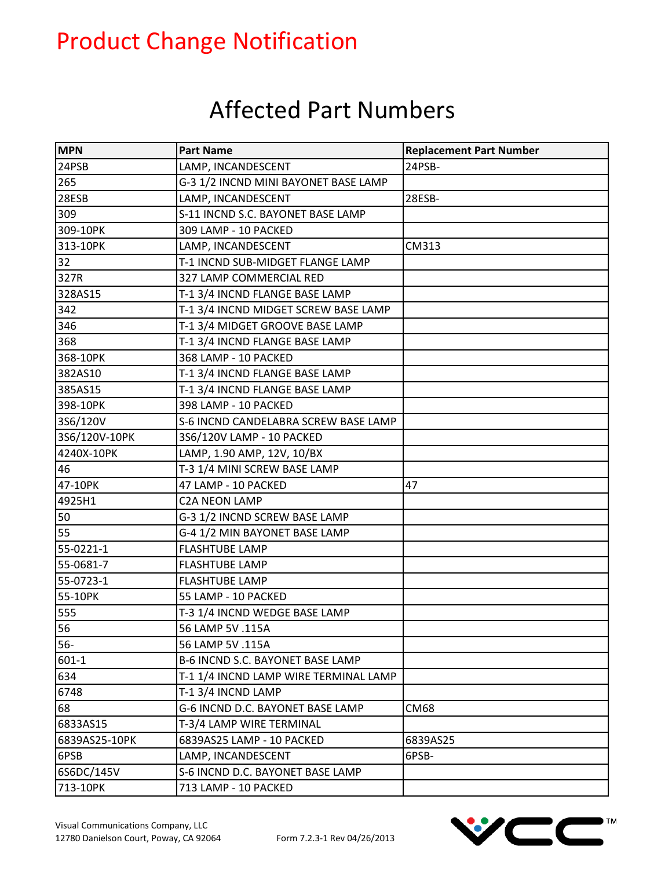### Affected Part Numbers

| <b>MPN</b>    | <b>Part Name</b>                      | <b>Replacement Part Number</b> |
|---------------|---------------------------------------|--------------------------------|
| 24PSB         | LAMP, INCANDESCENT                    | 24PSB-                         |
| 265           | G-3 1/2 INCND MINI BAYONET BASE LAMP  |                                |
| 28ESB         | LAMP, INCANDESCENT                    | 28ESB-                         |
| 309           | S-11 INCND S.C. BAYONET BASE LAMP     |                                |
| 309-10PK      | 309 LAMP - 10 PACKED                  |                                |
| 313-10PK      | LAMP, INCANDESCENT                    | CM313                          |
| 32            | T-1 INCND SUB-MIDGET FLANGE LAMP      |                                |
| 327R          | 327 LAMP COMMERCIAL RED               |                                |
| 328AS15       | T-1 3/4 INCND FLANGE BASE LAMP        |                                |
| 342           | T-1 3/4 INCND MIDGET SCREW BASE LAMP  |                                |
| 346           | T-1 3/4 MIDGET GROOVE BASE LAMP       |                                |
| 368           | T-1 3/4 INCND FLANGE BASE LAMP        |                                |
| 368-10PK      | 368 LAMP - 10 PACKED                  |                                |
| 382AS10       | T-1 3/4 INCND FLANGE BASE LAMP        |                                |
| 385AS15       | T-1 3/4 INCND FLANGE BASE LAMP        |                                |
| 398-10PK      | 398 LAMP - 10 PACKED                  |                                |
| 3S6/120V      | S-6 INCND CANDELABRA SCREW BASE LAMP  |                                |
| 3S6/120V-10PK | 3S6/120V LAMP - 10 PACKED             |                                |
| 4240X-10PK    | LAMP, 1.90 AMP, 12V, 10/BX            |                                |
| 46            | T-3 1/4 MINI SCREW BASE LAMP          |                                |
| 47-10PK       | 47 LAMP - 10 PACKED                   | 47                             |
| 4925H1        | <b>C2A NEON LAMP</b>                  |                                |
| 50            | G-3 1/2 INCND SCREW BASE LAMP         |                                |
| 55            | G-4 1/2 MIN BAYONET BASE LAMP         |                                |
| 55-0221-1     | <b>FLASHTUBE LAMP</b>                 |                                |
| 55-0681-7     | <b>FLASHTUBE LAMP</b>                 |                                |
| 55-0723-1     | <b>FLASHTUBE LAMP</b>                 |                                |
| 55-10PK       | 55 LAMP - 10 PACKED                   |                                |
| 555           | T-3 1/4 INCND WEDGE BASE LAMP         |                                |
| 56            | 56 LAMP 5V .115A                      |                                |
| $56-$         | 56 LAMP 5V .115A                      |                                |
| $601 - 1$     | B-6 INCND S.C. BAYONET BASE LAMP      |                                |
| 634           | T-1 1/4 INCND LAMP WIRE TERMINAL LAMP |                                |
| 6748          | T-1 3/4 INCND LAMP                    |                                |
| 68            | G-6 INCND D.C. BAYONET BASE LAMP      | <b>CM68</b>                    |
| 6833AS15      | T-3/4 LAMP WIRE TERMINAL              |                                |
| 6839AS25-10PK | 6839AS25 LAMP - 10 PACKED             | 6839AS25                       |
| 6PSB          | LAMP, INCANDESCENT                    | 6PSB-                          |
| 6S6DC/145V    | S-6 INCND D.C. BAYONET BASE LAMP      |                                |
| 713-10PK      | 713 LAMP - 10 PACKED                  |                                |

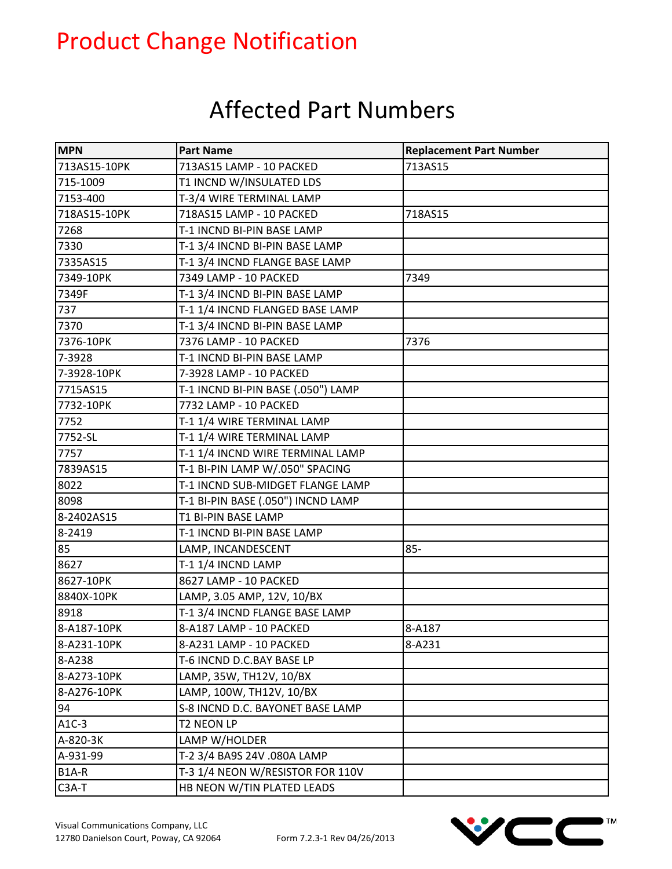### Affected Part Numbers

| <b>MPN</b>   | <b>Part Name</b>                   | <b>Replacement Part Number</b> |
|--------------|------------------------------------|--------------------------------|
| 713AS15-10PK | 713AS15 LAMP - 10 PACKED           | 713AS15                        |
| 715-1009     | T1 INCND W/INSULATED LDS           |                                |
| 7153-400     | T-3/4 WIRE TERMINAL LAMP           |                                |
| 718AS15-10PK | 718AS15 LAMP - 10 PACKED           | 718AS15                        |
| 7268         | T-1 INCND BI-PIN BASE LAMP         |                                |
| 7330         | T-1 3/4 INCND BI-PIN BASE LAMP     |                                |
| 7335AS15     | T-1 3/4 INCND FLANGE BASE LAMP     |                                |
| 7349-10PK    | 7349 LAMP - 10 PACKED              | 7349                           |
| 7349F        | T-1 3/4 INCND BI-PIN BASE LAMP     |                                |
| 737          | T-1 1/4 INCND FLANGED BASE LAMP    |                                |
| 7370         | T-1 3/4 INCND BI-PIN BASE LAMP     |                                |
| 7376-10PK    | 7376 LAMP - 10 PACKED              | 7376                           |
| 7-3928       | T-1 INCND BI-PIN BASE LAMP         |                                |
| 7-3928-10PK  | 7-3928 LAMP - 10 PACKED            |                                |
| 7715AS15     | T-1 INCND BI-PIN BASE (.050") LAMP |                                |
| 7732-10PK    | 7732 LAMP - 10 PACKED              |                                |
| 7752         | T-1 1/4 WIRE TERMINAL LAMP         |                                |
| 7752-SL      | T-1 1/4 WIRE TERMINAL LAMP         |                                |
| 7757         | T-1 1/4 INCND WIRE TERMINAL LAMP   |                                |
| 7839AS15     | T-1 BI-PIN LAMP W/.050" SPACING    |                                |
| 8022         | T-1 INCND SUB-MIDGET FLANGE LAMP   |                                |
| 8098         | T-1 BI-PIN BASE (.050") INCND LAMP |                                |
| 8-2402AS15   | T1 BI-PIN BASE LAMP                |                                |
| 8-2419       | T-1 INCND BI-PIN BASE LAMP         |                                |
| 85           | LAMP, INCANDESCENT                 | $85 -$                         |
| 8627         | T-1 1/4 INCND LAMP                 |                                |
| 8627-10PK    | 8627 LAMP - 10 PACKED              |                                |
| 8840X-10PK   | LAMP, 3.05 AMP, 12V, 10/BX         |                                |
| 8918         | T-1 3/4 INCND FLANGE BASE LAMP     |                                |
| 8-A187-10PK  | 8-A187 LAMP - 10 PACKED            | 8-A187                         |
| 8-A231-10PK  | 8-A231 LAMP - 10 PACKED            | 8-A231                         |
| 8-A238       | T-6 INCND D.C.BAY BASE LP          |                                |
| 8-A273-10PK  | LAMP, 35W, TH12V, 10/BX            |                                |
| 8-A276-10PK  | LAMP, 100W, TH12V, 10/BX           |                                |
| 94           | S-8 INCND D.C. BAYONET BASE LAMP   |                                |
| $A1C-3$      | T2 NEON LP                         |                                |
| A-820-3K     | LAMP W/HOLDER                      |                                |
| A-931-99     | T-2 3/4 BA9S 24V .080A LAMP        |                                |
| B1A-R        | T-3 1/4 NEON W/RESISTOR FOR 110V   |                                |
| $C3A-T$      | HB NEON W/TIN PLATED LEADS         |                                |

TM

 $\blacksquare$